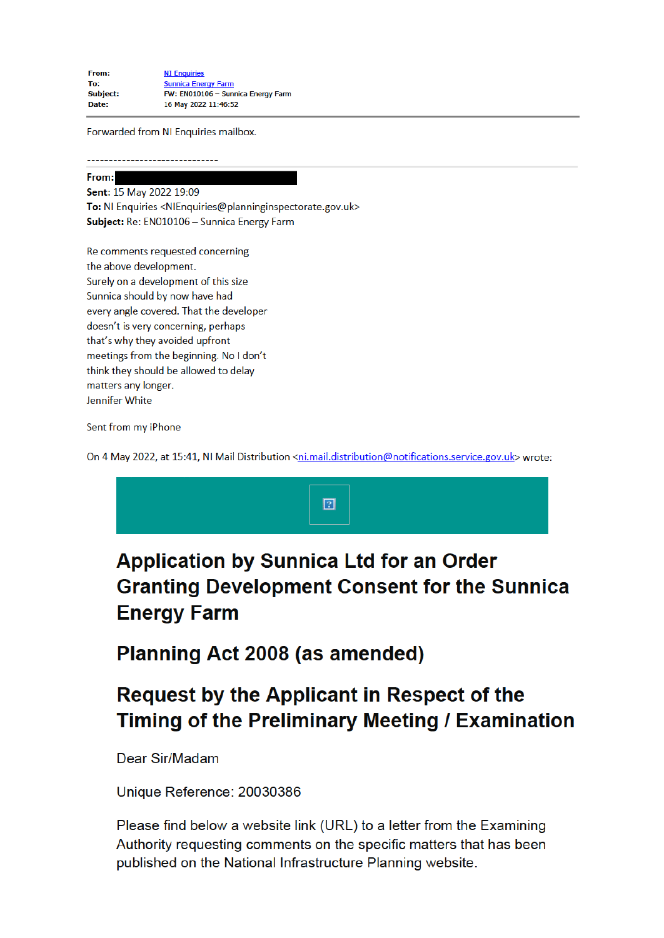Forwarded from NI Enquiries mailbox.

## From: Sent: 15 May 2022 19:09

To: NI Enquiries <NIEnquiries@planninginspectorate.gov.uk> Subject: Re: EN010106 - Sunnica Energy Farm

Re comments requested concerning the above development. Surely on a development of this size Sunnica should by now have had every angle covered. That the developer doesn't is very concerning, perhaps that's why they avoided upfront meetings from the beginning. No I don't think they should be allowed to delay matters any longer. Jennifer White

Sent from my iPhone

On 4 May 2022, at 15:41, NI Mail Distribution <ni.mail.distribution@notifications.service.gov.uk> wrote:



**Planning Act 2008 (as amended)** 

## **Request by the Applicant in Respect of the** Timing of the Preliminary Meeting / Examination

Dear Sir/Madam

Unique Reference: 20030386

Please find below a website link (URL) to a letter from the Examining Authority requesting comments on the specific matters that has been published on the National Infrastructure Planning website.